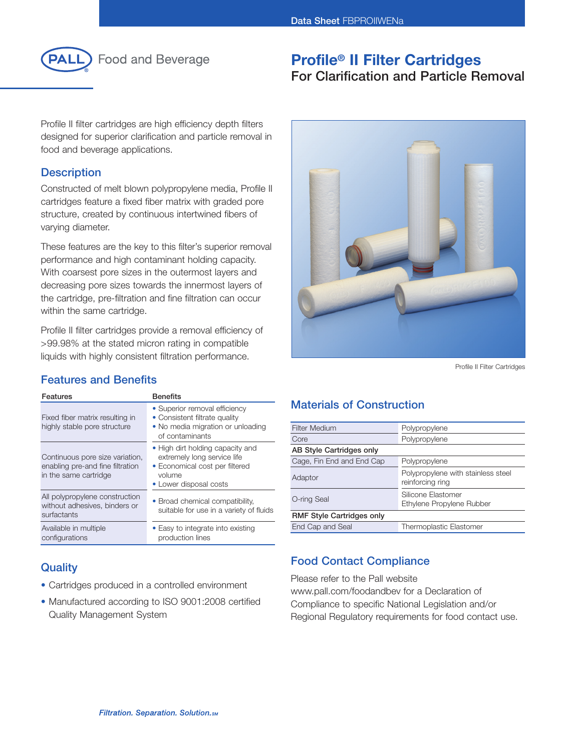

**Profile® II Filter Cartridges** 

# **For Clarification and Particle Removal**

Profile II filter cartridges are high efficiency depth filters designed for superior clarification and particle removal in food and beverage applications.

### **Description**

Constructed of melt blown polypropylene media, Profile II cartridges feature a fixed fiber matrix with graded pore structure, created by continuous intertwined fibers of varying diameter.

These features are the key to this filter's superior removal performance and high contaminant holding capacity. With coarsest pore sizes in the outermost layers and decreasing pore sizes towards the innermost layers of the cartridge, pre-filtration and fine filtration can occur within the same cartridge.

Profile II filter cartridges provide a removal efficiency of >99.98% at the stated micron rating in compatible liquids with highly consistent filtration performance.

### **Features and Benefits**

| Features                                                                                     | <b>Benefits</b>                                                                                                                       |
|----------------------------------------------------------------------------------------------|---------------------------------------------------------------------------------------------------------------------------------------|
| Fixed fiber matrix resulting in<br>highly stable pore structure                              | • Superior removal efficiency<br>• Consistent filtrate quality<br>• No media migration or unloading<br>of contaminants                |
| Continuous pore size variation,<br>enabling pre-and fine filtration<br>in the same cartridge | • High dirt holding capacity and<br>extremely long service life<br>• Economical cost per filtered<br>volume<br>• Lower disposal costs |
| All polypropylene construction<br>without adhesives, binders or<br>surfactants               | • Broad chemical compatibility,<br>suitable for use in a variety of fluids                                                            |
| Available in multiple<br>configurations                                                      | • Easy to integrate into existing<br>production lines                                                                                 |

### **Quality**

- Cartridges produced in a controlled environment
- Manufactured according to ISO 9001:2008 certified Quality Management System



Profile II Filter Cartridges

## **Materials of Construction**

| <b>Filter Medium</b>             | Polypropylene                                          |  |  |  |
|----------------------------------|--------------------------------------------------------|--|--|--|
| Core                             | Polypropylene                                          |  |  |  |
| AB Style Cartridges only         |                                                        |  |  |  |
| Cage, Fin End and End Cap        | Polypropylene                                          |  |  |  |
| Adaptor                          | Polypropylene with stainless steel<br>reinforcing ring |  |  |  |
| O-ring Seal                      | Silicone Elastomer<br>Ethylene Propylene Rubber        |  |  |  |
| <b>RMF Style Cartridges only</b> |                                                        |  |  |  |
| End Cap and Seal                 | <b>Thermoplastic Elastomer</b>                         |  |  |  |

### **Food Contact Compliance**

Please refer to the Pall website www.pall.com/foodandbev for a Declaration of Compliance to specific National Legislation and/or Regional Regulatory requirements for food contact use.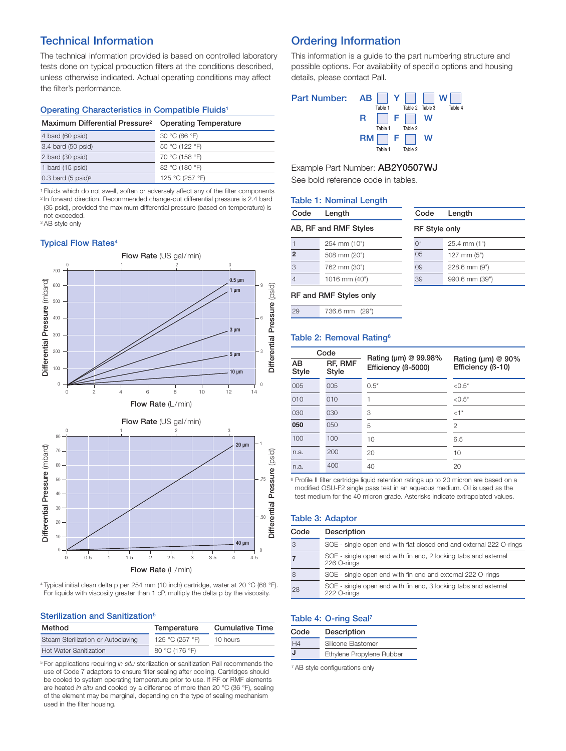### **Technical Information**

The technical information provided is based on controlled laboratory tests done on typical production filters at the conditions described, unless otherwise indicated. Actual operating conditions may affect the filter's performance.

#### **Operating Characteristics in Compatible Fluids1**

| Maximum Differential Pressure <sup>2</sup> | <b>Operating Temperature</b> |
|--------------------------------------------|------------------------------|
| 4 bard (60 psid)                           | 30 °C (86 °F)                |
| 3.4 bard (50 psid)                         | 50 °C (122 °F)               |
| 2 bard (30 psid)                           | 70 °C (158 °F)               |
| 1 bard (15 psid)                           | 82 °C (180 °F)               |
| $0.3$ bard (5 psid) <sup>3</sup>           | 125 °C (257 °F)              |

<sup>1</sup> Fluids which do not swell, soften or adversely affect any of the filter components <sup>2</sup> In forward direction. Recommended change-out differential pressure is 2.4 bard

(35 psid), provided the maximum differential pressure (based on temperature) is not exceeded.

<sup>3</sup> AB style only

### **Typical Flow Rates4**



**Flow Rate** (L/min)

4 Typical initial clean delta p per 254 mm (10 inch) cartridge, water at 20 °C (68 °F). For liquids with viscosity greater than 1 cP, multiply the delta p by the viscosity.

#### **Sterilization and Sanitization5**

| Method                             | Temperature     | <b>Cumulative Time</b> |
|------------------------------------|-----------------|------------------------|
| Steam Sterilization or Autoclaving | 125 °C (257 °F) | 10 hours               |
| <b>Hot Water Sanitization</b>      | 80 °C (176 °F)  |                        |

<sup>5</sup> For applications requiring *in situ* sterilization or sanitization Pall recommends the use of Code 7 adaptors to ensure filter sealing after cooling. Cartridges should be cooled to system operating temperature prior to use. If RF or RMF elements are heated *in situ* and cooled by a difference of more than 20 °C (36 °F), sealing of the element may be marginal, depending on the type of sealing mechanism used in the filter housing.

### **Ordering Information**

This information is a guide to the part numbering structure and possible options. For availability of specific options and housing details, please contact Pall.

| Part Number: AB     Y         W |         |                             |     |         |
|---------------------------------|---------|-----------------------------|-----|---------|
|                                 | Table 1 | Table 2 Table 3             |     | Table 4 |
|                                 |         | R     F     W               |     |         |
|                                 | Table 1 | Table 2                     |     |         |
|                                 |         | $RM$ $\mid$ F $\mid$ $\mid$ | - W |         |
|                                 | Table 1 | Table 2                     |     |         |

Example Part Number: **AB2Y0507WJ**

See bold reference code in tables.

### **Table 1: Nominal Length**

### **AB, RF and RMF Styles**

**Code Length**

| AB, RF and RMF Styles |               | <b>RF Style only</b> |                  |  |
|-----------------------|---------------|----------------------|------------------|--|
|                       | 254 mm (10")  | 01                   | $25.4$ mm $(1")$ |  |
| $\overline{2}$        | 508 mm (20")  | 0 <sub>5</sub>       | 127 mm $(5")$    |  |
| 3                     | 762 mm (30")  | 09                   | 228.6 mm (9")    |  |
| $\overline{4}$        | 1016 mm (40") | 39                   | 990.6 mm (39")   |  |

**Code Length**

#### **RF and RMF Styles only**

29 736.6 mm (29")

#### **Table 2: Removal Rating6**

| Code        |                  | Rating ( $\mu$ m) @ 99.98% |                                              |  |
|-------------|------------------|----------------------------|----------------------------------------------|--|
| AB<br>Style | RF, RMF<br>Style | Efficiency (6-5000)        | Rating ( $\mu$ m) @ 90%<br>Efficiency (B-10) |  |
| 005         | 005              | $0.5*$                     | $< 0.5*$                                     |  |
| 010         | 010              | 1                          | $< 0.5*$                                     |  |
| 030         | 030              | 3                          | $\leq 1^*$                                   |  |
| 050         | 050              | 5                          | $\mathfrak{p}$                               |  |
| 100         | 100              | 10                         | 6.5                                          |  |
| n.a.        | 200              | 20                         | 10                                           |  |
| n.a.        | 400              | 40                         | 20                                           |  |

<sup>6</sup> Profile II filter cartridge liquid retention ratings up to 20 micron are based on a modified OSU-F2 single pass test in an aqueous medium. Oil is used as the test medium for the 40 micron grade. Asterisks indicate extrapolated values.

#### **Table 3: Adaptor**

| Code | Description                                                                    |
|------|--------------------------------------------------------------------------------|
|      | SOE - single open end with flat closed end and external 222 O-rings            |
|      | SOE - single open end with fin end, 2 locking tabs and external<br>226 O-rings |
| 8    | SOE - single open end with fin end and external 222 O-rings                    |
| 28   | SOE - single open end with fin end, 3 locking tabs and external<br>222 O-rings |

#### **Table 4: O-ring Seal7**

| Code    | Description               |  |
|---------|---------------------------|--|
| H4      | Silicone Flastomer        |  |
| $\cdot$ | Ethylene Propylene Rubber |  |

7 AB style configurations only